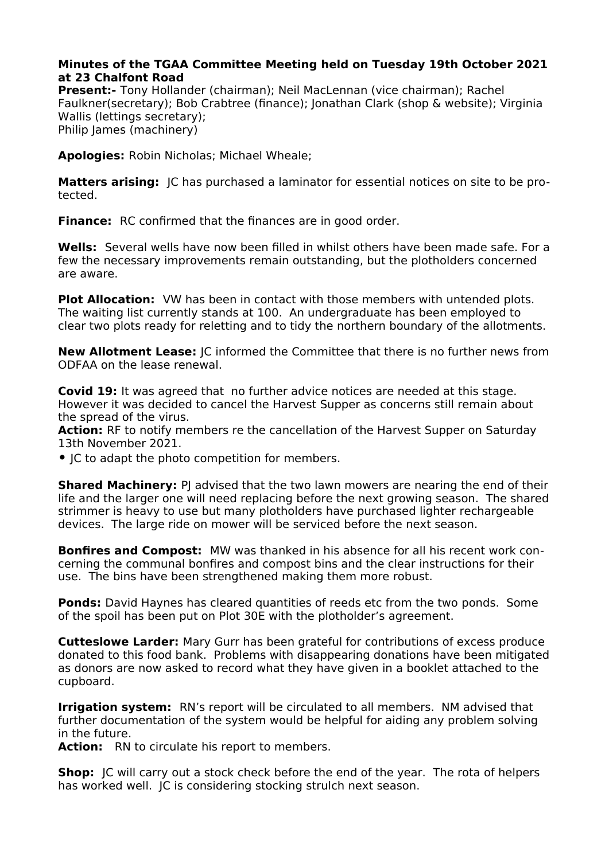## **Minutes of the TGAA Committee Meeting held on Tuesday 19th October 2021 at 23 Chalfont Road**

**Present:-** Tony Hollander (chairman); Neil MacLennan (vice chairman); Rachel Faulkner(secretary); Bob Crabtree (finance); Jonathan Clark (shop & website); Virginia Wallis (lettings secretary); Philip James (machinery)

**Apologies:** Robin Nicholas; Michael Wheale;

**Matters arising:** IC has purchased a laminator for essential notices on site to be protected.

**Finance:** RC confirmed that the finances are in good order.

**Wells:** Several wells have now been filled in whilst others have been made safe. For a few the necessary improvements remain outstanding, but the plotholders concerned are aware.

**Plot Allocation:** VW has been in contact with those members with untended plots. The waiting list currently stands at 100. An undergraduate has been employed to clear two plots ready for reletting and to tidy the northern boundary of the allotments.

**New Allotment Lease:** JC informed the Committee that there is no further news from ODFAA on the lease renewal.

**Covid 19:** It was agreed that no further advice notices are needed at this stage. However it was decided to cancel the Harvest Supper as concerns still remain about the spread of the virus.

**Action:** RF to notify members re the cancellation of the Harvest Supper on Saturday 13th November 2021.

**•** JC to adapt the photo competition for members.

**Shared Machinery:** PJ advised that the two lawn mowers are nearing the end of their life and the larger one will need replacing before the next growing season. The shared strimmer is heavy to use but many plotholders have purchased lighter rechargeable devices. The large ride on mower will be serviced before the next season.

**Bonfires and Compost:** MW was thanked in his absence for all his recent work concerning the communal bonfires and compost bins and the clear instructions for their use. The bins have been strengthened making them more robust.

**Ponds:** David Haynes has cleared quantities of reeds etc from the two ponds. Some of the spoil has been put on Plot 30E with the plotholder's agreement.

**Cutteslowe Larder:** Mary Gurr has been grateful for contributions of excess produce donated to this food bank. Problems with disappearing donations have been mitigated as donors are now asked to record what they have given in a booklet attached to the cupboard.

**Irrigation system:** RN's report will be circulated to all members. NM advised that further documentation of the system would be helpful for aiding any problem solving in the future.

Action: RN to circulate his report to members.

**Shop:** JC will carry out a stock check before the end of the year. The rota of helpers has worked well. JC is considering stocking strulch next season.